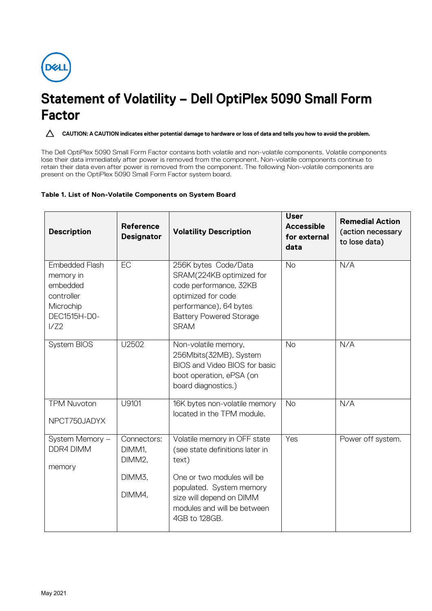

## **Statement of Volatility – Dell OptiPlex 5090 Small Form Factor**

CAUTION: A CAUTION indicates either potential damage to hardware or loss of data and tells you how to avoid the problem.

The Dell OptiPlex 5090 Small Form Factor contains both volatile and non-volatile components. Volatile components lose their data immediately after power is removed from the component. Non-volatile components continue to retain their data even after power is removed from the component. The following Non-volatile components are present on the OptiPlex 5090 Small Form Factor system board.

## **Table 1. List of Non-Volatile Components on System Board**

| <b>Description</b>                                                                                | <b>Reference</b><br><b>Designator</b>               | <b>Volatility Description</b>                                                                                                                                                                                  | <b>User</b><br><b>Accessible</b><br>for external<br>data | <b>Remedial Action</b><br>(action necessary<br>to lose data) |
|---------------------------------------------------------------------------------------------------|-----------------------------------------------------|----------------------------------------------------------------------------------------------------------------------------------------------------------------------------------------------------------------|----------------------------------------------------------|--------------------------------------------------------------|
| <b>Embedded Flash</b><br>memory in<br>embedded<br>controller<br>Microchip<br>DEC1515H-D0-<br>1/Z2 | EC                                                  | 256K bytes Code/Data<br>SRAM(224KB optimized for<br>code performance, 32KB<br>optimized for code<br>performance), 64 bytes<br><b>Battery Powered Storage</b><br><b>SRAM</b>                                    | <b>No</b>                                                | N/A                                                          |
| System BIOS                                                                                       | U2502                                               | Non-volatile memory,<br>256Mbits(32MB), System<br>BIOS and Video BIOS for basic<br>boot operation, ePSA (on<br>board diagnostics.)                                                                             | <b>No</b>                                                | N/A                                                          |
| <b>TPM Nuvoton</b><br>NPCT750JADYX                                                                | U9101                                               | 16K bytes non-volatile memory<br>located in the TPM module.                                                                                                                                                    | <b>No</b>                                                | N/A                                                          |
| System Memory -<br>DDR4 DIMM<br>memory                                                            | Connectors:<br>DIMM1.<br>DIMM2.<br>DIMM3,<br>DIMM4. | Volatile memory in OFF state<br>(see state definitions later in<br>text)<br>One or two modules will be<br>populated. System memory<br>size will depend on DIMM<br>modules and will be between<br>4GB to 128GB. | Yes                                                      | Power off system.                                            |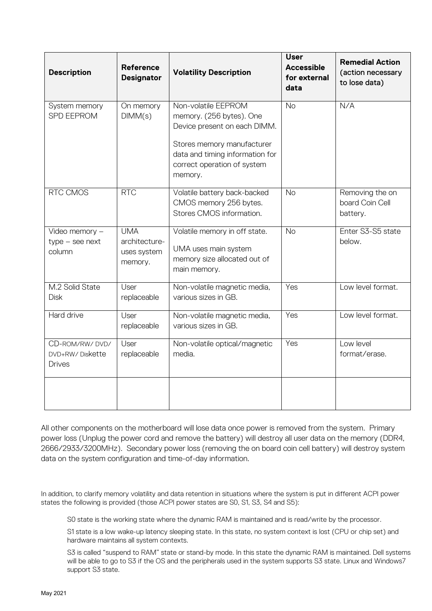| <b>Description</b>                            | <b>Reference</b><br><b>Designator</b>                 | <b>Volatility Description</b>                                                                                                                                                              | <b>User</b><br><b>Accessible</b><br>for external<br>data | <b>Remedial Action</b><br>(action necessary<br>to lose data) |
|-----------------------------------------------|-------------------------------------------------------|--------------------------------------------------------------------------------------------------------------------------------------------------------------------------------------------|----------------------------------------------------------|--------------------------------------------------------------|
| System memory<br><b>SPD EEPROM</b>            | On memory<br>DIMM(s)                                  | Non-volatile EEPROM<br>memory. (256 bytes). One<br>Device present on each DIMM.<br>Stores memory manufacturer<br>data and timing information for<br>correct operation of system<br>memory. | <b>No</b>                                                | N/A                                                          |
| RTC CMOS                                      | <b>RTC</b>                                            | Volatile battery back-backed<br>CMOS memory 256 bytes.<br>Stores CMOS information.                                                                                                         | <b>No</b>                                                | Removing the on<br>board Coin Cell<br>battery.               |
| Video memory -<br>$type - see next$<br>column | <b>UMA</b><br>architecture-<br>uses system<br>memory. | Volatile memory in off state.<br>UMA uses main system<br>memory size allocated out of<br>main memory.                                                                                      | <b>No</b>                                                | Enter S3-S5 state<br>below.                                  |
| M.2 Solid State<br><b>Disk</b>                | User<br>replaceable                                   | Non-volatile magnetic media,<br>various sizes in GB.                                                                                                                                       | Yes                                                      | Low level format.                                            |
| Hard drive                                    | User<br>replaceable                                   | Non-volatile magnetic media,<br>various sizes in GB.                                                                                                                                       | Yes                                                      | Low level format.                                            |
| CD-ROM/RW/DVD/<br>DVD+RW/Diskette<br>Drives   | User<br>replaceable                                   | Non-volatile optical/magnetic<br>media.                                                                                                                                                    | Yes                                                      | Low level<br>format/erase.                                   |
|                                               |                                                       |                                                                                                                                                                                            |                                                          |                                                              |

All other components on the motherboard will lose data once power is removed from the system. Primary power loss (Unplug the power cord and remove the battery) will destroy all user data on the memory (DDR4, 2666/2933/3200MHz). Secondary power loss (removing the on board coin cell battery) will destroy system data on the system configuration and time-of-day information.

In addition, to clarify memory volatility and data retention in situations where the system is put in different ACPI power states the following is provided (those ACPI power states are S0, S1, S3, S4 and S5):

S0 state is the working state where the dynamic RAM is maintained and is read/write by the processor.

S1 state is a low wake-up latency sleeping state. In this state, no system context is lost (CPU or chip set) and hardware maintains all system contexts.

S3 is called "suspend to RAM" state or stand-by mode. In this state the dynamic RAM is maintained. Dell systems will be able to go to S3 if the OS and the peripherals used in the system supports S3 state. Linux and Windows7 support S3 state.